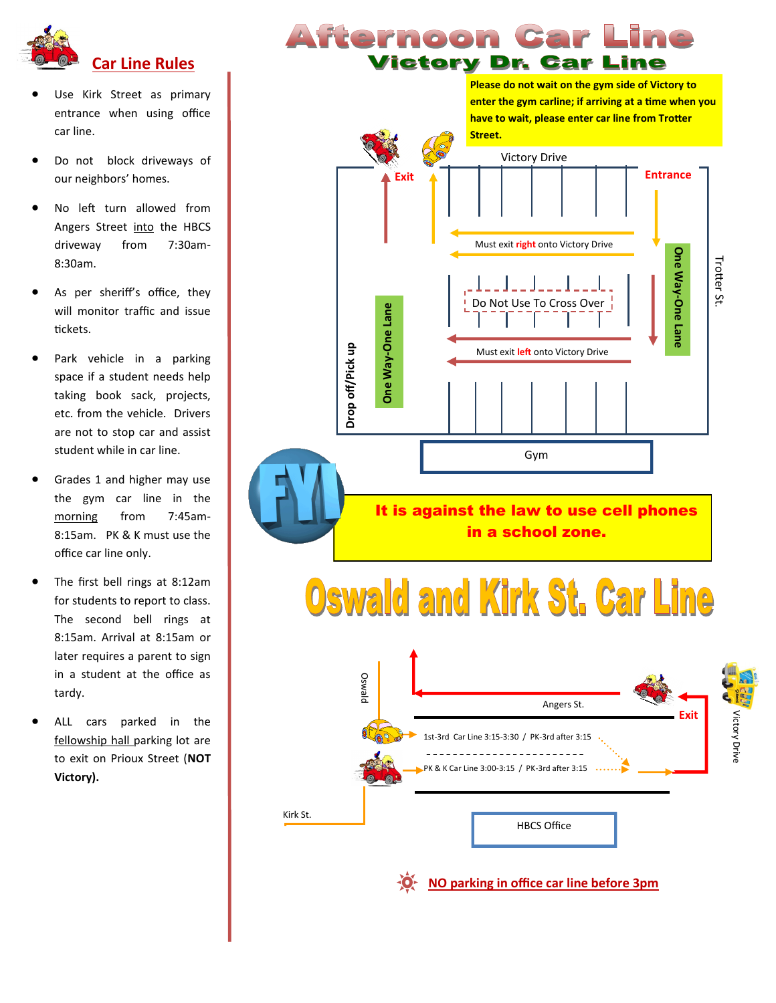

- Use Kirk Street as primary entrance when using office car line.
- Do not block driveways of our neighbors' homes.
- No left turn allowed from Angers Street into the HBCS driveway from 7:30am-8:30am.
- As per sheriff's office, they will monitor traffic and issue tickets.
- Park vehicle in a parking space if a student needs help taking book sack, projects, etc. from the vehicle. Drivers are not to stop car and assist student while in car line.
- Grades 1 and higher may use the gym car line in the morning from 7:45am-8:15am. PK & K must use the office car line only.
- The first bell rings at 8:12am for students to report to class. The second bell rings at 8:15am. Arrival at 8:15am or later requires a parent to sign in a student at the office as tardy.
- ALL cars parked in the fellowship hall parking lot are to exit on Prioux Street (**NOT Victory).**